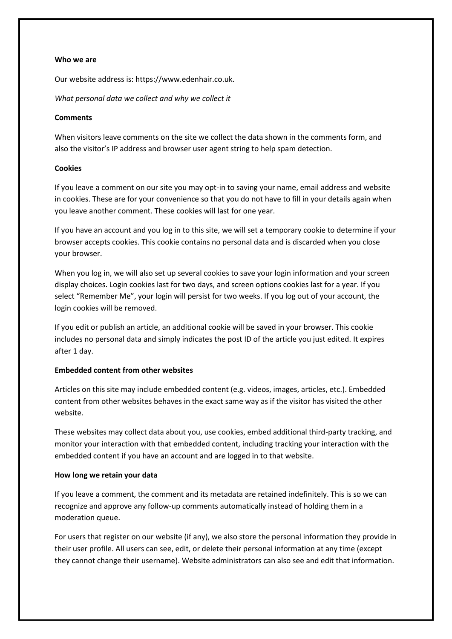#### **Who we are**

Our website address is: https://www.edenhair.co.uk.

*What personal data we collect and why we collect it*

# **Comments**

When visitors leave comments on the site we collect the data shown in the comments form, and also the visitor's IP address and browser user agent string to help spam detection.

# **Cookies**

If you leave a comment on our site you may opt-in to saving your name, email address and website in cookies. These are for your convenience so that you do not have to fill in your details again when you leave another comment. These cookies will last for one year.

If you have an account and you log in to this site, we will set a temporary cookie to determine if your browser accepts cookies. This cookie contains no personal data and is discarded when you close your browser.

When you log in, we will also set up several cookies to save your login information and your screen display choices. Login cookies last for two days, and screen options cookies last for a year. If you select "Remember Me", your login will persist for two weeks. If you log out of your account, the login cookies will be removed.

If you edit or publish an article, an additional cookie will be saved in your browser. This cookie includes no personal data and simply indicates the post ID of the article you just edited. It expires after 1 day.

# **Embedded content from other websites**

Articles on this site may include embedded content (e.g. videos, images, articles, etc.). Embedded content from other websites behaves in the exact same way as if the visitor has visited the other website.

These websites may collect data about you, use cookies, embed additional third-party tracking, and monitor your interaction with that embedded content, including tracking your interaction with the embedded content if you have an account and are logged in to that website.

## **How long we retain your data**

If you leave a comment, the comment and its metadata are retained indefinitely. This is so we can recognize and approve any follow-up comments automatically instead of holding them in a moderation queue.

For users that register on our website (if any), we also store the personal information they provide in their user profile. All users can see, edit, or delete their personal information at any time (except they cannot change their username). Website administrators can also see and edit that information.